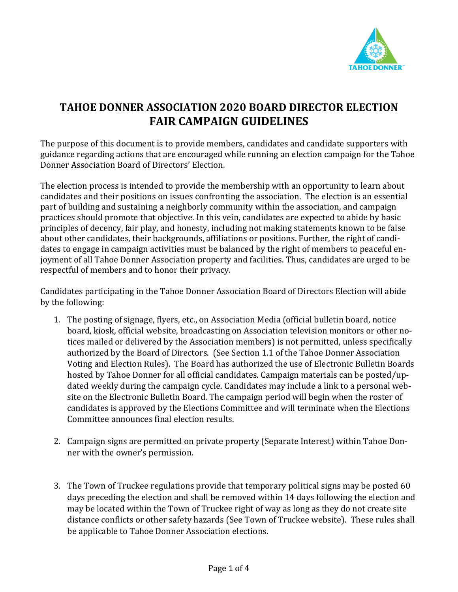

## **TAHOE DONNER ASSOCIATION 2020 BOARD DIRECTOR ELECTION FAIR CAMPAIGN GUIDELINES**

The purpose of this document is to provide members, candidates and candidate supporters with guidance regarding actions that are encouraged while running an election campaign for the Tahoe Donner Association Board of Directors' Election.

The election process is intended to provide the membership with an opportunity to learn about candidates and their positions on issues confronting the association. The election is an essential part of building and sustaining a neighborly community within the association, and campaign practices should promote that objective. In this vein, candidates are expected to abide by basic principles of decency, fair play, and honesty, including not making statements known to be false about other candidates, their backgrounds, affiliations or positions. Further, the right of candidates to engage in campaign activities must be balanced by the right of members to peaceful enjoyment of all Tahoe Donner Association property and facilities. Thus, candidates are urged to be respectful of members and to honor their privacy.

Candidates participating in the Tahoe Donner Association Board of Directors Election will abide by the following:

- 1. The posting of signage, flyers, etc., on Association Media (official bulletin board, notice board, kiosk, official website, broadcasting on Association television monitors or other notices mailed or delivered by the Association members) is not permitted, unless specifically authorized by the Board of Directors. (See Section 1.1 of the Tahoe Donner Association Voting and Election Rules). The Board has authorized the use of Electronic Bulletin Boards hosted by Tahoe Donner for all official candidates. Campaign materials can be posted/updated weekly during the campaign cycle. Candidates may include a link to a personal website on the Electronic Bulletin Board. The campaign period will begin when the roster of candidates is approved by the Elections Committee and will terminate when the Elections Committee announces final election results.
- 2. Campaign signs are permitted on private property (Separate Interest) within Tahoe Donner with the owner's permission.
- 3. The Town of Truckee regulations provide that temporary political signs may be posted 60 days preceding the election and shall be removed within 14 days following the election and may be located within the Town of Truckee right of way as long as they do not create site distance conflicts or other safety hazards (See Town of Truckee website). These rules shall be applicable to Tahoe Donner Association elections.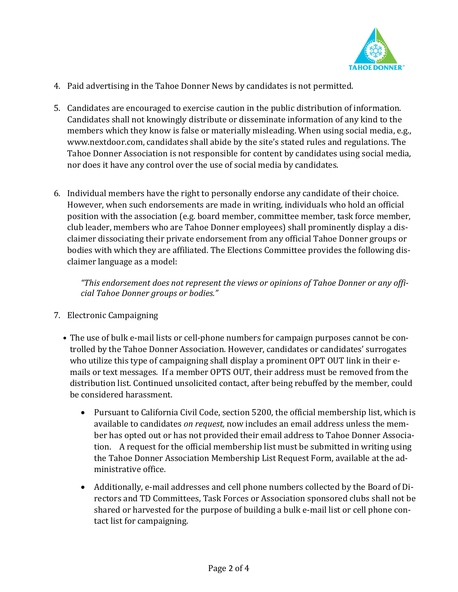

- 4. Paid advertising in the Tahoe Donner News by candidates is not permitted.
- 5. Candidates are encouraged to exercise caution in the public distribution of information. Candidates shall not knowingly distribute or disseminate information of any kind to the members which they know is false or materially misleading. When using social media, e.g., www.nextdoor.com, candidates shall abide by the site's stated rules and regulations. The Tahoe Donner Association is not responsible for content by candidates using social media, nor does it have any control over the use of social media by candidates.
- 6. Individual members have the right to personally endorse any candidate of their choice. However, when such endorsements are made in writing, individuals who hold an official position with the association (e.g. board member, committee member, task force member, club leader, members who are Tahoe Donner employees) shall prominently display a disclaimer dissociating their private endorsement from any official Tahoe Donner groups or bodies with which they are affiliated. The Elections Committee provides the following disclaimer language as a model:

*"This endorsement does not represent the views or opinions of Tahoe Donner or any official Tahoe Donner groups or bodies."*

- 7. Electronic Campaigning
	- The use of bulk e-mail lists or cell-phone numbers for campaign purposes cannot be controlled by the Tahoe Donner Association. However, candidates or candidates' surrogates who utilize this type of campaigning shall display a prominent OPT OUT link in their emails or text messages. If a member OPTS OUT, their address must be removed from the distribution list. Continued unsolicited contact, after being rebuffed by the member, could be considered harassment.
		- Pursuant to California Civil Code, section 5200, the official membership list, which is available to candidates *on request,* now includes an email address unless the member has opted out or has not provided their email address to Tahoe Donner Association. A request for the official membership list must be submitted in writing using the Tahoe Donner Association Membership List Request Form, available at the administrative office.
		- Additionally, e-mail addresses and cell phone numbers collected by the Board of Directors and TD Committees, Task Forces or Association sponsored clubs shall not be shared or harvested for the purpose of building a bulk e-mail list or cell phone contact list for campaigning.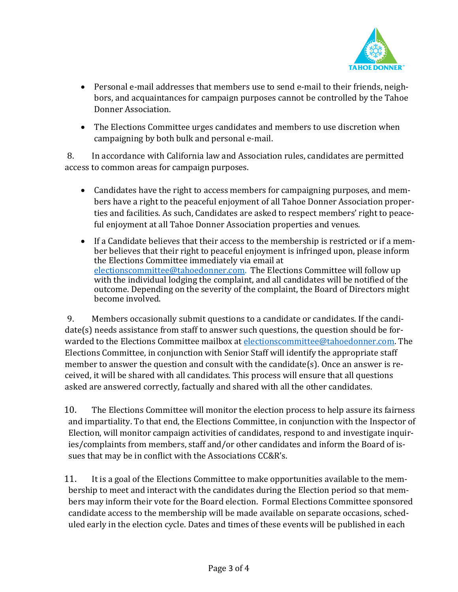

- Personal e-mail addresses that members use to send e-mail to their friends, neighbors, and acquaintances for campaign purposes cannot be controlled by the Tahoe Donner Association.
- The Elections Committee urges candidates and members to use discretion when campaigning by both bulk and personal e-mail.

8. In accordance with California law and Association rules, candidates are permitted access to common areas for campaign purposes.

- Candidates have the right to access members for campaigning purposes, and members have a right to the peaceful enjoyment of all Tahoe Donner Association properties and facilities. As such, Candidates are asked to respect members' right to peaceful enjoyment at all Tahoe Donner Association properties and venues.
- If a Candidate believes that their access to the membership is restricted or if a member believes that their right to peaceful enjoyment is infringed upon, please inform the Elections Committee immediately via email at [electionscommittee@tahoedonner.com.](mailto:electionscommittee@tahoedonner.com) The Elections Committee will follow up with the individual lodging the complaint, and all candidates will be notified of the outcome. Depending on the severity of the complaint, the Board of Directors might become involved.

9. Members occasionally submit questions to a candidate or candidates. If the candidate(s) needs assistance from staff to answer such questions, the question should be forwarded to the Elections Committee mailbox at [electionscommittee@tahoedonner.com.](mailto:electionscommittee@tahoedonner.com) The Elections Committee, in conjunction with Senior Staff will identify the appropriate staff member to answer the question and consult with the candidate(s). Once an answer is received, it will be shared with all candidates. This process will ensure that all questions asked are answered correctly, factually and shared with all the other candidates.

10. The Elections Committee will monitor the election process to help assure its fairness and impartiality. To that end, the Elections Committee, in conjunction with the Inspector of Election, will monitor campaign activities of candidates, respond to and investigate inquiries/complaints from members, staff and/or other candidates and inform the Board of issues that may be in conflict with the Associations CC&R's.

11. It is a goal of the Elections Committee to make opportunities available to the membership to meet and interact with the candidates during the Election period so that members may inform their vote for the Board election. Formal Elections Committee sponsored candidate access to the membership will be made available on separate occasions, scheduled early in the election cycle. Dates and times of these events will be published in each